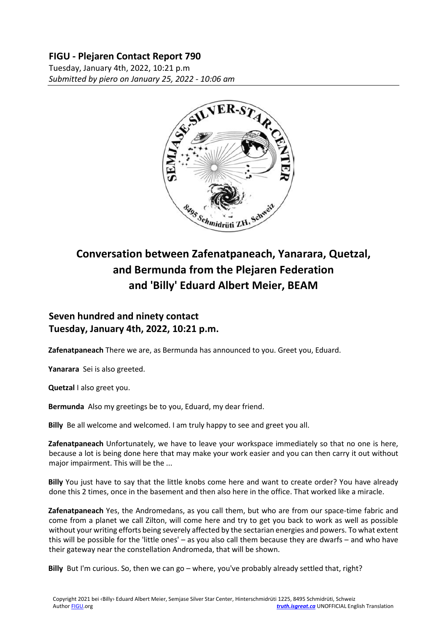### **FIGU - Plejaren Contact Report 790**

Tuesday, January 4th, 2022, 10:21 p.m *Submitted by piero on January 25, 2022 - 10:06 am*



# **Conversation between Zafenatpaneach, Yanarara, Quetzal, and Bermunda from the Plejaren Federation and 'Billy' Eduard Albert Meier, BEAM**

## **Seven hundred and ninety contact Tuesday, January 4th, 2022, 10:21 p.m.**

**Zafenatpaneach** There we are, as Bermunda has announced to you. Greet you, Eduard.

**Yanarara** Sei is also greeted.

**Quetzal** I also greet you.

**Bermunda** Also my greetings be to you, Eduard, my dear friend.

**Billy** Be all welcome and welcomed. I am truly happy to see and greet you all.

**Zafenatpaneach** Unfortunately, we have to leave your workspace immediately so that no one is here, because a lot is being done here that may make your work easier and you can then carry it out without major impairment. This will be the ...

**Billy** You just have to say that the little knobs come here and want to create order? You have already done this 2 times, once in the basement and then also here in the office. That worked like a miracle.

**Zafenatpaneach** Yes, the Andromedans, as you call them, but who are from our space-time fabric and come from a planet we call Zilton, will come here and try to get you back to work as well as possible without your writing efforts being severely affected by the sectarian energies and powers. To what extent this will be possible for the 'little ones' – as you also call them because they are dwarfs – and who have their gateway near the constellation Andromeda, that will be shown.

**Billy** But I'm curious. So, then we can go – where, you've probably already settled that, right?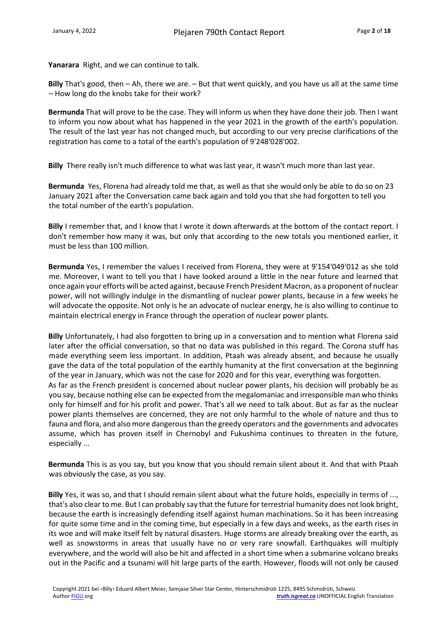**Yanarara** Right, and we can continue to talk.

**Billy** That's good, then – Ah, there we are. – But that went quickly, and you have us all at the same time – How long do the knobs take for their work?

**Bermunda** That will prove to be the case. They will inform us when they have done their job. Then I want to inform you now about what has happened in the year 2021 in the growth of the earth's population. The result of the last year has not changed much, but according to our very precise clarifications of the registration has come to a total of the earth's population of 9'248'028'002.

**Billy** There really isn't much difference to what was last year, it wasn't much more than last year.

**Bermunda** Yes, Florena had already told me that, as well as that she would only be able to do so on 23 January 2021 after the Conversation came back again and told you that she had forgotten to tell you the total number of the earth's population.

**Billy** I remember that, and I know that I wrote it down afterwards at the bottom of the contact report. I don't remember how many it was, but only that according to the new totals you mentioned earlier, it must be less than 100 million.

**Bermunda** Yes, I remember the values I received from Florena, they were at 9'154'049'012 as she told me. Moreover, I want to tell you that I have looked around a little in the near future and learned that once again your efforts will be acted against, because French President Macron, as a proponent of nuclear power, will not willingly indulge in the dismantling of nuclear power plants, because in a few weeks he will advocate the opposite. Not only is he an advocate of nuclear energy, he is also willing to continue to maintain electrical energy in France through the operation of nuclear power plants.

**Billy** Unfortunately, I had also forgotten to bring up in a conversation and to mention what Florena said later after the official conversation, so that no data was published in this regard. The Corona stuff has made everything seem less important. In addition, Ptaah was already absent, and because he usually gave the data of the total population of the earthly humanity at the first conversation at the beginning of the year in January, which was not the case for 2020 and for this year, everything was forgotten. As far as the French president is concerned about nuclear power plants, his decision will probably be as you say, because nothing else can be expected from the megalomaniac and irresponsible man who thinks only for himself and for his profit and power. That's all we need to talk about. But as far as the nuclear power plants themselves are concerned, they are not only harmful to the whole of nature and thus to fauna and flora, and also more dangerous than the greedy operators and the governments and advocates assume, which has proven itself in Chernobyl and Fukushima continues to threaten in the future, especially ...

**Bermunda** This is as you say, but you know that you should remain silent about it. And that with Ptaah was obviously the case, as you say.

**Billy** Yes, it was so, and that I should remain silent about what the future holds, especially in terms of ..., that's also clear to me. But I can probably say that the future for terrestrial humanity does not look bright, because the earth is increasingly defending itself against human machinations. So it has been increasing for quite some time and in the coming time, but especially in a few days and weeks, as the earth rises in its woe and will make itself felt by natural disasters. Huge storms are already breaking over the earth, as well as snowstorms in areas that usually have no or very rare snowfall. Earthquakes will multiply everywhere, and the world will also be hit and affected in a short time when a submarine volcano breaks out in the Pacific and a tsunami will hit large parts of the earth. However, floods will not only be caused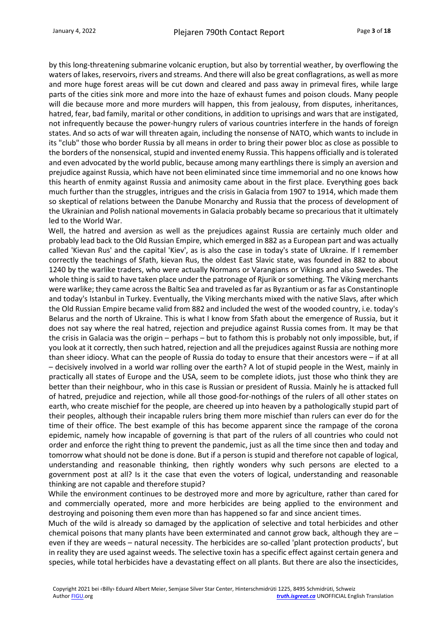by this long-threatening submarine volcanic eruption, but also by torrential weather, by overflowing the waters of lakes, reservoirs, rivers and streams. And there will also be great conflagrations, as well as more and more huge forest areas will be cut down and cleared and pass away in primeval fires, while large parts of the cities sink more and more into the haze of exhaust fumes and poison clouds. Many people will die because more and more murders will happen, this from jealousy, from disputes, inheritances, hatred, fear, bad family, marital or other conditions, in addition to uprisings and wars that are instigated, not infrequently because the power-hungry rulers of various countries interfere in the hands of foreign states. And so acts of war will threaten again, including the nonsense of NATO, which wants to include in its "club" those who border Russia by all means in order to bring their power bloc as close as possible to the borders of the nonsensical, stupid and invented enemy Russia. This happens officially and is tolerated and even advocated by the world public, because among many earthlings there is simply an aversion and prejudice against Russia, which have not been eliminated since time immemorial and no one knows how this hearth of enmity against Russia and animosity came about in the first place. Everything goes back much further than the struggles, intrigues and the crisis in Galacia from 1907 to 1914, which made them so skeptical of relations between the Danube Monarchy and Russia that the process of development of the Ukrainian and Polish national movements in Galacia probably became so precarious that it ultimately led to the World War.

Well, the hatred and aversion as well as the prejudices against Russia are certainly much older and probably lead back to the Old Russian Empire, which emerged in 882 as a European part and was actually called 'Kievan Rus' and the capital 'Kiev', as is also the case in today's state of Ukraine. If I remember correctly the teachings of Sfath, kievan Rus, the oldest East Slavic state, was founded in 882 to about 1240 by the warlike traders, who were actually Normans or Varangians or Vikings and also Swedes. The whole thing is said to have taken place under the patronage of Rjurik or something. The Viking merchants were warlike; they came across the Baltic Sea and traveled as far as Byzantium or as far as Constantinople and today's Istanbul in Turkey. Eventually, the Viking merchants mixed with the native Slavs, after which the Old Russian Empire became valid from 882 and included the west of the wooded country, i.e. today's Belarus and the north of Ukraine. This is what I know from Sfath about the emergence of Russia, but it does not say where the real hatred, rejection and prejudice against Russia comes from. It may be that the crisis in Galacia was the origin – perhaps – but to fathom this is probably not only impossible, but, if you look at it correctly, then such hatred, rejection and all the prejudices against Russia are nothing more than sheer idiocy. What can the people of Russia do today to ensure that their ancestors were – if at all – decisively involved in a world war rolling over the earth? A lot of stupid people in the West, mainly in practically all states of Europe and the USA, seem to be complete idiots, just those who think they are better than their neighbour, who in this case is Russian or president of Russia. Mainly he is attacked full of hatred, prejudice and rejection, while all those good-for-nothings of the rulers of all other states on earth, who create mischief for the people, are cheered up into heaven by a pathologically stupid part of their peoples, although their incapable rulers bring them more mischief than rulers can ever do for the time of their office. The best example of this has become apparent since the rampage of the corona epidemic, namely how incapable of governing is that part of the rulers of all countries who could not order and enforce the right thing to prevent the pandemic, just as all the time since then and today and tomorrow what should not be done is done. But if a person is stupid and therefore not capable of logical, understanding and reasonable thinking, then rightly wonders why such persons are elected to a government post at all? Is it the case that even the voters of logical, understanding and reasonable thinking are not capable and therefore stupid?

While the environment continues to be destroyed more and more by agriculture, rather than cared for and commercially operated, more and more herbicides are being applied to the environment and destroying and poisoning them even more than has happened so far and since ancient times.

Much of the wild is already so damaged by the application of selective and total herbicides and other chemical poisons that many plants have been exterminated and cannot grow back, although they are – even if they are weeds – natural necessity. The herbicides are so-called 'plant protection products', but in reality they are used against weeds. The selective toxin has a specific effect against certain genera and species, while total herbicides have a devastating effect on all plants. But there are also the insecticides,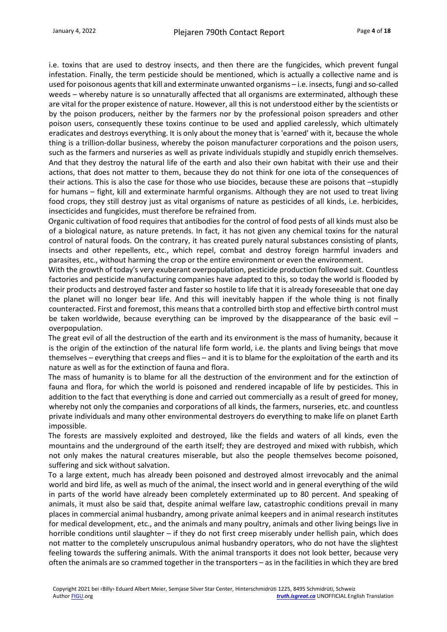i.e. toxins that are used to destroy insects, and then there are the fungicides, which prevent fungal infestation. Finally, the term pesticide should be mentioned, which is actually a collective name and is used for poisonous agents that kill and exterminate unwanted organisms – i.e. insects, fungi and so-called weeds – whereby nature is so unnaturally affected that all organisms are exterminated, although these are vital for the proper existence of nature. However, all this is not understood either by the scientists or by the poison producers, neither by the farmers nor by the professional poison spreaders and other poison users, consequently these toxins continue to be used and applied carelessly, which ultimately eradicates and destroys everything. It is only about the money that is 'earned' with it, because the whole thing is a trillion-dollar business, whereby the poison manufacturer corporations and the poison users, such as the farmers and nurseries as well as private individuals stupidly and stupidly enrich themselves. And that they destroy the natural life of the earth and also their own habitat with their use and their actions, that does not matter to them, because they do not think for one iota of the consequences of their actions. This is also the case for those who use biocides, because these are poisons that –stupidly for humans – fight, kill and exterminate harmful organisms. Although they are not used to treat living food crops, they still destroy just as vital organisms of nature as pesticides of all kinds, i.e. herbicides, insecticides and fungicides, must therefore be refrained from.

Organic cultivation of food requires that antibodies for the control of food pests of all kinds must also be of a biological nature, as nature pretends. In fact, it has not given any chemical toxins for the natural control of natural foods. On the contrary, it has created purely natural substances consisting of plants, insects and other repellents, etc., which repel, combat and destroy foreign harmful invaders and parasites, etc., without harming the crop or the entire environment or even the environment.

With the growth of today's very exuberant overpopulation, pesticide production followed suit. Countless factories and pesticide manufacturing companies have adapted to this, so today the world is flooded by their products and destroyed faster and faster so hostile to life that it is already foreseeable that one day the planet will no longer bear life. And this will inevitably happen if the whole thing is not finally counteracted. First and foremost, this means that a controlled birth stop and effective birth control must be taken worldwide, because everything can be improved by the disappearance of the basic evil – overpopulation.

The great evil of all the destruction of the earth and its environment is the mass of humanity, because it is the origin of the extinction of the natural life form world, i.e. the plants and living beings that move themselves – everything that creeps and flies – and it is to blame for the exploitation of the earth and its nature as well as for the extinction of fauna and flora.

The mass of humanity is to blame for all the destruction of the environment and for the extinction of fauna and flora, for which the world is poisoned and rendered incapable of life by pesticides. This in addition to the fact that everything is done and carried out commercially as a result of greed for money, whereby not only the companies and corporations of all kinds, the farmers, nurseries, etc. and countless private individuals and many other environmental destroyers do everything to make life on planet Earth impossible.

The forests are massively exploited and destroyed, like the fields and waters of all kinds, even the mountains and the underground of the earth itself; they are destroyed and mixed with rubbish, which not only makes the natural creatures miserable, but also the people themselves become poisoned, suffering and sick without salvation.

To a large extent, much has already been poisoned and destroyed almost irrevocably and the animal world and bird life, as well as much of the animal, the insect world and in general everything of the wild in parts of the world have already been completely exterminated up to 80 percent. And speaking of animals, it must also be said that, despite animal welfare law, catastrophic conditions prevail in many places in commercial animal husbandry, among private animal keepers and in animal research institutes for medical development, etc., and the animals and many poultry, animals and other living beings live in horrible conditions until slaughter – if they do not first creep miserably under hellish pain, which does not matter to the completely unscrupulous animal husbandry operators, who do not have the slightest feeling towards the suffering animals. With the animal transports it does not look better, because very often the animals are so crammed together in the transporters – as in the facilities in which they are bred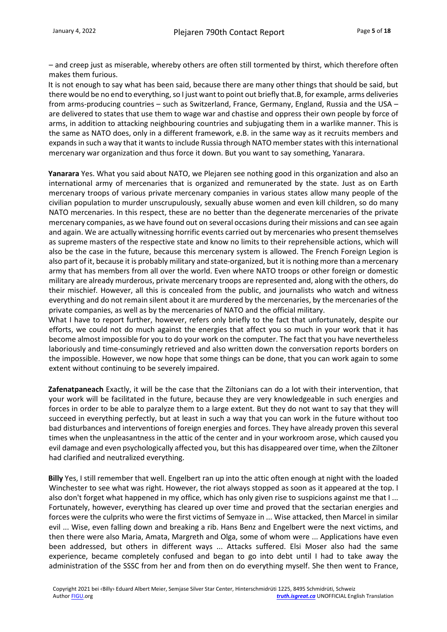– and creep just as miserable, whereby others are often still tormented by thirst, which therefore often makes them furious.

It is not enough to say what has been said, because there are many other things that should be said, but there would be no end to everything, so I just want to point out briefly that.B, for example, arms deliveries from arms-producing countries – such as Switzerland, France, Germany, England, Russia and the USA – are delivered to states that use them to wage war and chastise and oppress their own people by force of arms, in addition to attacking neighbouring countries and subjugating them in a warlike manner. This is the same as NATO does, only in a different framework, e.B. in the same way as it recruits members and expands in such a way that it wants to include Russia through NATO member states with this international mercenary war organization and thus force it down. But you want to say something, Yanarara.

**Yanarara** Yes. What you said about NATO, we Plejaren see nothing good in this organization and also an international army of mercenaries that is organized and remunerated by the state. Just as on Earth mercenary troops of various private mercenary companies in various states allow many people of the civilian population to murder unscrupulously, sexually abuse women and even kill children, so do many NATO mercenaries. In this respect, these are no better than the degenerate mercenaries of the private mercenary companies, as we have found out on several occasions during their missions and can see again and again. We are actually witnessing horrific events carried out by mercenaries who present themselves as supreme masters of the respective state and know no limits to their reprehensible actions, which will also be the case in the future, because this mercenary system is allowed. The French Foreign Legion is also part of it, because it is probably military and state-organized, but it is nothing more than a mercenary army that has members from all over the world. Even where NATO troops or other foreign or domestic military are already murderous, private mercenary troops are represented and, along with the others, do their mischief. However, all this is concealed from the public, and journalists who watch and witness everything and do not remain silent about it are murdered by the mercenaries, by the mercenaries of the private companies, as well as by the mercenaries of NATO and the official military.

What I have to report further, however, refers only briefly to the fact that unfortunately, despite our efforts, we could not do much against the energies that affect you so much in your work that it has become almost impossible for you to do your work on the computer. The fact that you have nevertheless laboriously and time-consumingly retrieved and also written down the conversation reports borders on the impossible. However, we now hope that some things can be done, that you can work again to some extent without continuing to be severely impaired.

**Zafenatpaneach** Exactly, it will be the case that the Ziltonians can do a lot with their intervention, that your work will be facilitated in the future, because they are very knowledgeable in such energies and forces in order to be able to paralyze them to a large extent. But they do not want to say that they will succeed in everything perfectly, but at least in such a way that you can work in the future without too bad disturbances and interventions of foreign energies and forces. They have already proven this several times when the unpleasantness in the attic of the center and in your workroom arose, which caused you evil damage and even psychologically affected you, but this has disappeared over time, when the Ziltoner had clarified and neutralized everything.

**Billy** Yes, I still remember that well. Engelbert ran up into the attic often enough at night with the loaded Winchester to see what was right. However, the riot always stopped as soon as it appeared at the top. I also don't forget what happened in my office, which has only given rise to suspicions against me that I ... Fortunately, however, everything has cleared up over time and proved that the sectarian energies and forces were the culprits who were the first victims of Semyaze in ... Wise attacked, then Marcel in similar evil ... Wise, even falling down and breaking a rib. Hans Benz and Engelbert were the next victims, and then there were also Maria, Amata, Margreth and Olga, some of whom were ... Applications have even been addressed, but others in different ways ... Attacks suffered. Elsi Moser also had the same experience, became completely confused and began to go into debt until I had to take away the administration of the SSSC from her and from then on do everything myself. She then went to France,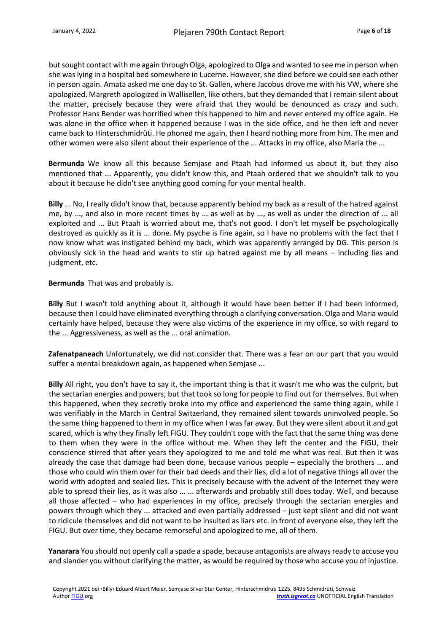but sought contact with me again through Olga, apologized to Olga and wanted to see me in person when she was lying in a hospital bed somewhere in Lucerne. However, she died before we could see each other in person again. Amata asked me one day to St. Gallen, where Jacobus drove me with his VW, where she apologized. Margreth apologized in Wallisellen, like others, but they demanded that I remain silent about the matter, precisely because they were afraid that they would be denounced as crazy and such. Professor Hans Bender was horrified when this happened to him and never entered my office again. He was alone in the office when it happened because I was in the side office, and he then left and never came back to Hinterschmidrüti. He phoned me again, then I heard nothing more from him. The men and other women were also silent about their experience of the ... Attacks in my office, also Maria the ...

**Bermunda** We know all this because Semjase and Ptaah had informed us about it, but they also mentioned that ... Apparently, you didn't know this, and Ptaah ordered that we shouldn't talk to you about it because he didn't see anything good coming for your mental health.

**Billy** ... No, I really didn't know that, because apparently behind my back as a result of the hatred against me, by ..., and also in more recent times by ... as well as by ..., as well as under the direction of ... all exploited and ... But Ptaah is worried about me, that's not good. I don't let myself be psychologically destroyed as quickly as it is ... done. My psyche is fine again, so I have no problems with the fact that I now know what was instigated behind my back, which was apparently arranged by DG. This person is obviously sick in the head and wants to stir up hatred against me by all means – including lies and judgment, etc.

**Bermunda** That was and probably is.

**Billy** But I wasn't told anything about it, although it would have been better if I had been informed, because then I could have eliminated everything through a clarifying conversation. Olga and Maria would certainly have helped, because they were also victims of the experience in my office, so with regard to the ... Aggressiveness, as well as the ... oral animation.

**Zafenatpaneach** Unfortunately, we did not consider that. There was a fear on our part that you would suffer a mental breakdown again, as happened when Semjase ...

**Billy** All right, you don't have to say it, the important thing is that it wasn't me who was the culprit, but the sectarian energies and powers; but that took so long for people to find out for themselves. But when this happened, when they secretly broke into my office and experienced the same thing again, while I was verifiably in the March in Central Switzerland, they remained silent towards uninvolved people. So the same thing happened to them in my office when I was far away. But they were silent about it and got scared, which is why they finally left FIGU. They couldn't cope with the fact that the same thing was done to them when they were in the office without me. When they left the center and the FIGU, their conscience stirred that after years they apologized to me and told me what was real. But then it was already the case that damage had been done, because various people – especially the brothers ... and those who could win them over for their bad deeds and their lies, did a lot of negative things all over the world with adopted and sealed lies. This is precisely because with the advent of the Internet they were able to spread their lies, as it was also ... ... afterwards and probably still does today. Well, and because all those affected – who had experiences in my office, precisely through the sectarian energies and powers through which they ... attacked and even partially addressed – just kept silent and did not want to ridicule themselves and did not want to be insulted as liars etc. in front of everyone else, they left the FIGU. But over time, they became remorseful and apologized to me, all of them.

**Yanarara** You should not openly call a spade a spade, because antagonists are always ready to accuse you and slander you without clarifying the matter, as would be required by those who accuse you of injustice.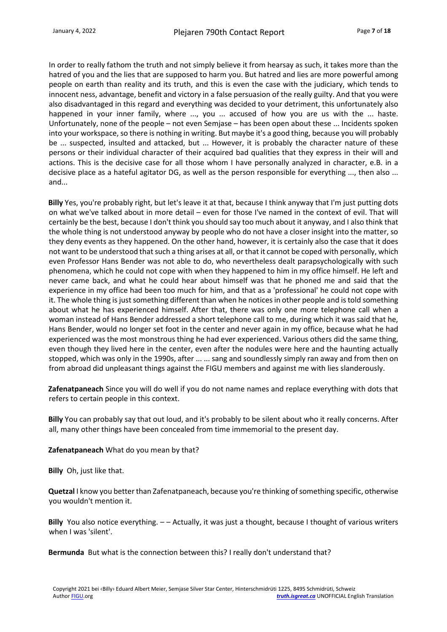In order to really fathom the truth and not simply believe it from hearsay as such, it takes more than the hatred of you and the lies that are supposed to harm you. But hatred and lies are more powerful among people on earth than reality and its truth, and this is even the case with the judiciary, which tends to innocent ness, advantage, benefit and victory in a false persuasion of the really guilty. And that you were also disadvantaged in this regard and everything was decided to your detriment, this unfortunately also happened in your inner family, where ..., you ... accused of how you are us with the ... haste. Unfortunately, none of the people – not even Semjase – has been open about these ... Incidents spoken into your workspace, so there is nothing in writing. But maybe it's a good thing, because you will probably be ... suspected, insulted and attacked, but ... However, it is probably the character nature of these persons or their individual character of their acquired bad qualities that they express in their will and actions. This is the decisive case for all those whom I have personally analyzed in character, e.B. in a decisive place as a hateful agitator DG, as well as the person responsible for everything ..., then also ... and...

**Billy** Yes, you're probably right, but let's leave it at that, because I think anyway that I'm just putting dots on what we've talked about in more detail – even for those I've named in the context of evil. That will certainly be the best, because I don't think you should say too much about it anyway, and I also think that the whole thing is not understood anyway by people who do not have a closer insight into the matter, so they deny events as they happened. On the other hand, however, it is certainly also the case that it does not want to be understood that such a thing arises at all, or that it cannot be coped with personally, which even Professor Hans Bender was not able to do, who nevertheless dealt parapsychologically with such phenomena, which he could not cope with when they happened to him in my office himself. He left and never came back, and what he could hear about himself was that he phoned me and said that the experience in my office had been too much for him, and that as a 'professional' he could not cope with it. The whole thing is just something different than when he notices in other people and is told something about what he has experienced himself. After that, there was only one more telephone call when a woman instead of Hans Bender addressed a short telephone call to me, during which it was said that he, Hans Bender, would no longer set foot in the center and never again in my office, because what he had experienced was the most monstrous thing he had ever experienced. Various others did the same thing, even though they lived here in the center, even after the nodules were here and the haunting actually stopped, which was only in the 1990s, after ... ... sang and soundlessly simply ran away and from then on from abroad did unpleasant things against the FIGU members and against me with lies slanderously.

**Zafenatpaneach** Since you will do well if you do not name names and replace everything with dots that refers to certain people in this context.

**Billy** You can probably say that out loud, and it's probably to be silent about who it really concerns. After all, many other things have been concealed from time immemorial to the present day.

#### **Zafenatpaneach** What do you mean by that?

**Billy** Oh, just like that.

**Quetzal** I know you better than Zafenatpaneach, because you're thinking of something specific, otherwise you wouldn't mention it.

**Billy** You also notice everything. – – Actually, it was just a thought, because I thought of various writers when I was 'silent'.

**Bermunda** But what is the connection between this? I really don't understand that?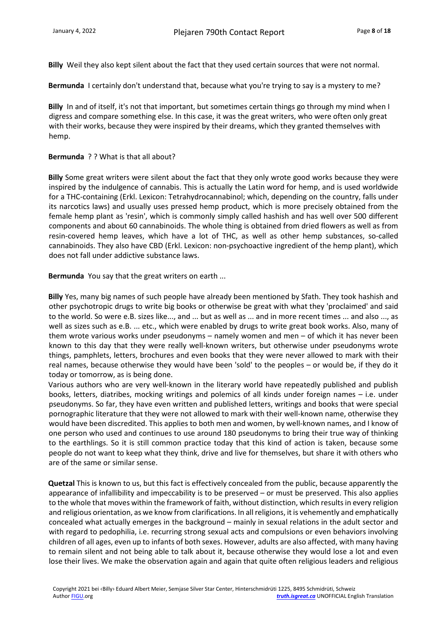**Billy** Weil they also kept silent about the fact that they used certain sources that were not normal.

**Bermunda** I certainly don't understand that, because what you're trying to say is a mystery to me?

**Billy** In and of itself, it's not that important, but sometimes certain things go through my mind when I digress and compare something else. In this case, it was the great writers, who were often only great with their works, because they were inspired by their dreams, which they granted themselves with hemp.

#### **Bermunda** ? ? What is that all about?

**Billy** Some great writers were silent about the fact that they only wrote good works because they were inspired by the indulgence of cannabis. This is actually the Latin word for hemp, and is used worldwide for a THC-containing (Erkl. Lexicon: Tetrahydrocannabinol; which, depending on the country, falls under its narcotics laws) and usually uses pressed hemp product, which is more precisely obtained from the female hemp plant as 'resin', which is commonly simply called hashish and has well over 500 different components and about 60 cannabinoids. The whole thing is obtained from dried flowers as well as from resin-covered hemp leaves, which have a lot of THC, as well as other hemp substances, so-called cannabinoids. They also have CBD (Erkl. Lexicon: non-psychoactive ingredient of the hemp plant), which does not fall under addictive substance laws.

**Bermunda** You say that the great writers on earth ...

**Billy** Yes, many big names of such people have already been mentioned by Sfath. They took hashish and other psychotropic drugs to write big books or otherwise be great with what they 'proclaimed' and said to the world. So were e.B. sizes like..., and ... but as well as ... and in more recent times ... and also ..., as well as sizes such as e.B. ... etc., which were enabled by drugs to write great book works. Also, many of them wrote various works under pseudonyms – namely women and men – of which it has never been known to this day that they were really well-known writers, but otherwise under pseudonyms wrote things, pamphlets, letters, brochures and even books that they were never allowed to mark with their real names, because otherwise they would have been 'sold' to the peoples – or would be, if they do it today or tomorrow, as is being done.

Various authors who are very well-known in the literary world have repeatedly published and publish books, letters, diatribes, mocking writings and polemics of all kinds under foreign names – i.e. under pseudonyms. So far, they have even written and published letters, writings and books that were special pornographic literature that they were not allowed to mark with their well-known name, otherwise they would have been discredited. This applies to both men and women, by well-known names, and I know of one person who used and continues to use around 180 pseudonyms to bring their true way of thinking to the earthlings. So it is still common practice today that this kind of action is taken, because some people do not want to keep what they think, drive and live for themselves, but share it with others who are of the same or similar sense.

**Quetzal** This is known to us, but this fact is effectively concealed from the public, because apparently the appearance of infallibility and impeccability is to be preserved – or must be preserved. This also applies to the whole that moves within the framework of faith, without distinction, which results in every religion and religious orientation, as we know from clarifications. In all religions, it is vehemently and emphatically concealed what actually emerges in the background – mainly in sexual relations in the adult sector and with regard to pedophilia, i.e. recurring strong sexual acts and compulsions or even behaviors involving children of all ages, even up to infants of both sexes. However, adults are also affected, with many having to remain silent and not being able to talk about it, because otherwise they would lose a lot and even lose their lives. We make the observation again and again that quite often religious leaders and religious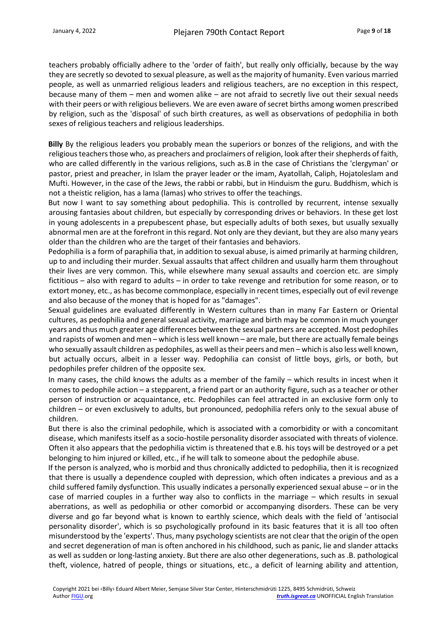teachers probably officially adhere to the 'order of faith', but really only officially, because by the way they are secretly so devoted to sexual pleasure, as well as the majority of humanity. Even various married people, as well as unmarried religious leaders and religious teachers, are no exception in this respect, because many of them – men and women alike – are not afraid to secretly live out their sexual needs with their peers or with religious believers. We are even aware of secret births among women prescribed by religion, such as the 'disposal' of such birth creatures, as well as observations of pedophilia in both sexes of religious teachers and religious leaderships.

**Billy** By the religious leaders you probably mean the superiors or bonzes of the religions, and with the religious teachers those who, as preachers and proclaimers of religion, look after their shepherds of faith, who are called differently in the various religions, such as.B in the case of Christians the 'clergyman' or pastor, priest and preacher, in Islam the prayer leader or the imam, Ayatollah, Caliph, Hojatoleslam and Mufti. However, in the case of the Jews, the rabbi or rabbi, but in Hinduism the guru. Buddhism, which is not a theistic religion, has a lama (lamas) who strives to offer the teachings.

But now I want to say something about pedophilia. This is controlled by recurrent, intense sexually arousing fantasies about children, but especially by corresponding drives or behaviors. In these get lost in young adolescents in a prepubescent phase, but especially adults of both sexes, but usually sexually abnormal men are at the forefront in this regard. Not only are they deviant, but they are also many years older than the children who are the target of their fantasies and behaviors.

Pedophilia is a form of paraphilia that, in addition to sexual abuse, is aimed primarily at harming children, up to and including their murder. Sexual assaults that affect children and usually harm them throughout their lives are very common. This, while elsewhere many sexual assaults and coercion etc. are simply fictitious – also with regard to adults – in order to take revenge and retribution for some reason, or to extort money, etc., as has become commonplace, especially in recent times, especially out of evil revenge and also because of the money that is hoped for as "damages".

Sexual guidelines are evaluated differently in Western cultures than in many Far Eastern or Oriental cultures, as pedophilia and general sexual activity, marriage and birth may be common in much younger years and thus much greater age differences between the sexual partners are accepted. Most pedophiles and rapists of women and men – which is less well known – are male, but there are actually female beings who sexually assault children as pedophiles, as well as their peers and men – which is also less well known, but actually occurs, albeit in a lesser way. Pedophilia can consist of little boys, girls, or both, but pedophiles prefer children of the opposite sex.

In many cases, the child knows the adults as a member of the family – which results in incest when it comes to pedophile action – a stepparent, a friend part or an authority figure, such as a teacher or other person of instruction or acquaintance, etc. Pedophiles can feel attracted in an exclusive form only to children – or even exclusively to adults, but pronounced, pedophilia refers only to the sexual abuse of children.

But there is also the criminal pedophile, which is associated with a comorbidity or with a concomitant disease, which manifests itself as a socio-hostile personality disorder associated with threats of violence. Often it also appears that the pedophilia victim is threatened that e.B. his toys will be destroyed or a pet belonging to him injured or killed, etc., if he will talk to someone about the pedophile abuse.

If the person is analyzed, who is morbid and thus chronically addicted to pedophilia, then it is recognized that there is usually a dependence coupled with depression, which often indicates a previous and as a child suffered family dysfunction. This usually indicates a personally experienced sexual abuse – or in the case of married couples in a further way also to conflicts in the marriage – which results in sexual aberrations, as well as pedophilia or other comorbid or accompanying disorders. These can be very diverse and go far beyond what is known to earthly science, which deals with the field of 'antisocial personality disorder', which is so psychologically profound in its basic features that it is all too often misunderstood by the 'experts'. Thus, many psychology scientists are not clear that the origin of the open and secret degeneration of man is often anchored in his childhood, such as panic, lie and slander attacks as well as sudden or long-lasting anxiety. But there are also other degenerations, such as .B. pathological theft, violence, hatred of people, things or situations, etc., a deficit of learning ability and attention,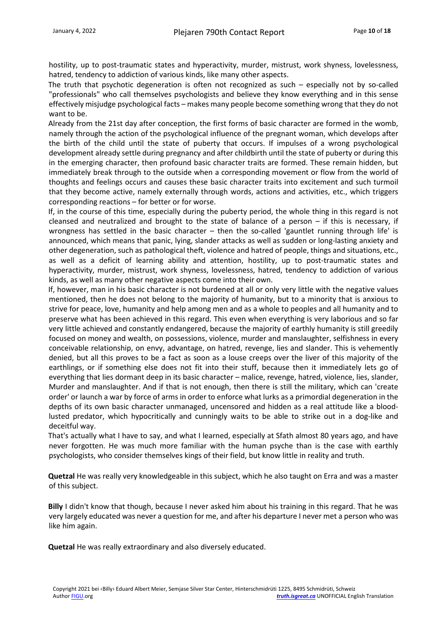hostility, up to post-traumatic states and hyperactivity, murder, mistrust, work shyness, lovelessness, hatred, tendency to addiction of various kinds, like many other aspects.

The truth that psychotic degeneration is often not recognized as such – especially not by so-called "professionals" who call themselves psychologists and believe they know everything and in this sense effectively misjudge psychological facts – makes many people become something wrong that they do not want to be.

Already from the 21st day after conception, the first forms of basic character are formed in the womb, namely through the action of the psychological influence of the pregnant woman, which develops after the birth of the child until the state of puberty that occurs. If impulses of a wrong psychological development already settle during pregnancy and after childbirth until the state of puberty or during this in the emerging character, then profound basic character traits are formed. These remain hidden, but immediately break through to the outside when a corresponding movement or flow from the world of thoughts and feelings occurs and causes these basic character traits into excitement and such turmoil that they become active, namely externally through words, actions and activities, etc., which triggers corresponding reactions – for better or for worse.

If, in the course of this time, especially during the puberty period, the whole thing in this regard is not cleansed and neutralized and brought to the state of balance of a person – if this is necessary, if wrongness has settled in the basic character – then the so-called 'gauntlet running through life' is announced, which means that panic, lying, slander attacks as well as sudden or long-lasting anxiety and other degeneration, such as pathological theft, violence and hatred of people, things and situations, etc., as well as a deficit of learning ability and attention, hostility, up to post-traumatic states and hyperactivity, murder, mistrust, work shyness, lovelessness, hatred, tendency to addiction of various kinds, as well as many other negative aspects come into their own.

If, however, man in his basic character is not burdened at all or only very little with the negative values mentioned, then he does not belong to the majority of humanity, but to a minority that is anxious to strive for peace, love, humanity and help among men and as a whole to peoples and all humanity and to preserve what has been achieved in this regard. This even when everything is very laborious and so far very little achieved and constantly endangered, because the majority of earthly humanity is still greedily focused on money and wealth, on possessions, violence, murder and manslaughter, selfishness in every conceivable relationship, on envy, advantage, on hatred, revenge, lies and slander. This is vehemently denied, but all this proves to be a fact as soon as a louse creeps over the liver of this majority of the earthlings, or if something else does not fit into their stuff, because then it immediately lets go of everything that lies dormant deep in its basic character – malice, revenge, hatred, violence, lies, slander, Murder and manslaughter. And if that is not enough, then there is still the military, which can 'create order' or launch a war by force of arms in order to enforce what lurks as a primordial degeneration in the depths of its own basic character unmanaged, uncensored and hidden as a real attitude like a bloodlusted predator, which hypocritically and cunningly waits to be able to strike out in a dog-like and deceitful way.

That's actually what I have to say, and what I learned, especially at Sfath almost 80 years ago, and have never forgotten. He was much more familiar with the human psyche than is the case with earthly psychologists, who consider themselves kings of their field, but know little in reality and truth.

**Quetzal** He was really very knowledgeable in this subject, which he also taught on Erra and was a master of this subject.

**Billy** I didn't know that though, because I never asked him about his training in this regard. That he was very largely educated was never a question for me, and after his departure I never met a person who was like him again.

**Quetzal** He was really extraordinary and also diversely educated.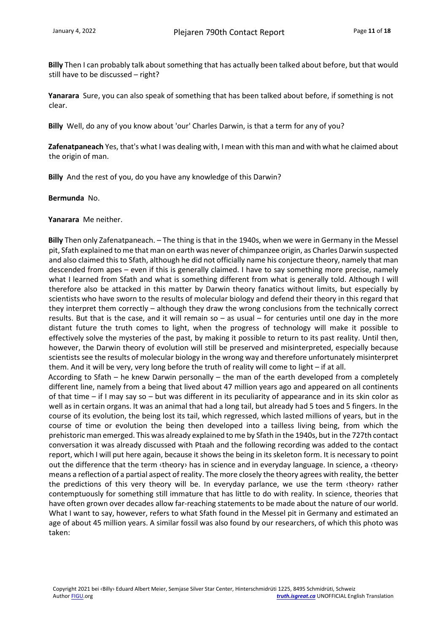**Billy** Then I can probably talk about something that has actually been talked about before, but that would still have to be discussed – right?

**Yanarara** Sure, you can also speak of something that has been talked about before, if something is not clear.

**Billy** Well, do any of you know about 'our' Charles Darwin, is that a term for any of you?

**Zafenatpaneach** Yes, that's what I was dealing with, I mean with this man and with what he claimed about the origin of man.

**Billy** And the rest of you, do you have any knowledge of this Darwin?

#### **Bermunda** No.

**Yanarara** Me neither.

**Billy** Then only Zafenatpaneach. – The thing is that in the 1940s, when we were in Germany in the Messel pit, Sfath explained to me that man on earth was never of chimpanzee origin, as Charles Darwin suspected and also claimed this to Sfath, although he did not officially name his conjecture theory, namely that man descended from apes – even if this is generally claimed. I have to say something more precise, namely what I learned from Sfath and what is something different from what is generally told. Although I will therefore also be attacked in this matter by Darwin theory fanatics without limits, but especially by scientists who have sworn to the results of molecular biology and defend their theory in this regard that they interpret them correctly – although they draw the wrong conclusions from the technically correct results. But that is the case, and it will remain so  $-$  as usual  $-$  for centuries until one day in the more distant future the truth comes to light, when the progress of technology will make it possible to effectively solve the mysteries of the past, by making it possible to return to its past reality. Until then, however, the Darwin theory of evolution will still be preserved and misinterpreted, especially because scientists see the results of molecular biology in the wrong way and therefore unfortunately misinterpret them. And it will be very, very long before the truth of reality will come to light – if at all.

According to Sfath – he knew Darwin personally – the man of the earth developed from a completely different line, namely from a being that lived about 47 million years ago and appeared on all continents of that time – if I may say so – but was different in its peculiarity of appearance and in its skin color as well as in certain organs. It was an animal that had a long tail, but already had 5 toes and 5 fingers. In the course of its evolution, the being lost its tail, which regressed, which lasted millions of years, but in the course of time or evolution the being then developed into a tailless living being, from which the prehistoric man emerged. This was already explained to me by Sfath in the 1940s, but in the 727th contact conversation it was already discussed with Ptaah and the following recording was added to the contact report, which I will put here again, because it shows the being in its skeleton form. It is necessary to point out the difference that the term ‹theory› has in science and in everyday language. In science, a ‹theory› means a reflection of a partial aspect of reality. The more closely the theory agrees with reality, the better the predictions of this very theory will be. In everyday parlance, we use the term ‹theory› rather contemptuously for something still immature that has little to do with reality. In science, theories that have often grown over decades allow far-reaching statements to be made about the nature of our world. What I want to say, however, refers to what Sfath found in the Messel pit in Germany and estimated an age of about 45 million years. A similar fossil was also found by our researchers, of which this photo was taken: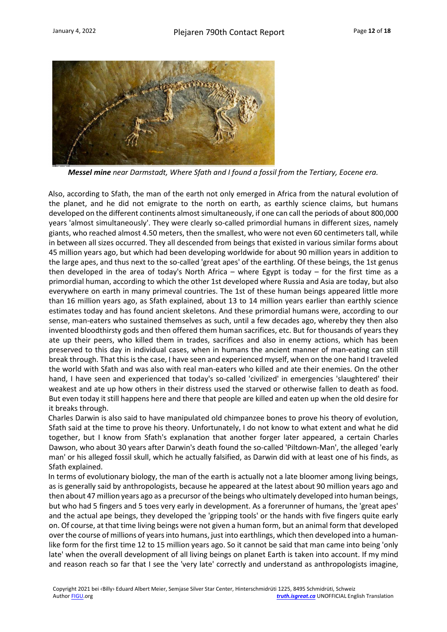

*Messel mine near Darmstadt, Where Sfath and I found a fossil from the Tertiary, Eocene era.*

Also, according to Sfath, the man of the earth not only emerged in Africa from the natural evolution of the planet, and he did not emigrate to the north on earth, as earthly science claims, but humans developed on the different continents almost simultaneously, if one can call the periods of about 800,000 years 'almost simultaneously'. They were clearly so-called primordial humans in different sizes, namely giants, who reached almost 4.50 meters, then the smallest, who were not even 60 centimeters tall, while in between all sizes occurred. They all descended from beings that existed in various similar forms about 45 million years ago, but which had been developing worldwide for about 90 million years in addition to the large apes, and thus next to the so-called 'great apes' of the earthling. Of these beings, the 1st genus then developed in the area of today's North Africa – where Egypt is today – for the first time as a primordial human, according to which the other 1st developed where Russia and Asia are today, but also everywhere on earth in many primeval countries. The 1st of these human beings appeared little more than 16 million years ago, as Sfath explained, about 13 to 14 million years earlier than earthly science estimates today and has found ancient skeletons. And these primordial humans were, according to our sense, man-eaters who sustained themselves as such, until a few decades ago, whereby they then also invented bloodthirsty gods and then offered them human sacrifices, etc. But for thousands of years they ate up their peers, who killed them in trades, sacrifices and also in enemy actions, which has been preserved to this day in individual cases, when in humans the ancient manner of man-eating can still break through. That this is the case, I have seen and experienced myself, when on the one hand I traveled the world with Sfath and was also with real man-eaters who killed and ate their enemies. On the other hand, I have seen and experienced that today's so-called 'civilized' in emergencies 'slaughtered' their weakest and ate up how others in their distress used the starved or otherwise fallen to death as food. But even today it still happens here and there that people are killed and eaten up when the old desire for it breaks through.

Charles Darwin is also said to have manipulated old chimpanzee bones to prove his theory of evolution, Sfath said at the time to prove his theory. Unfortunately, I do not know to what extent and what he did together, but I know from Sfath's explanation that another forger later appeared, a certain Charles Dawson, who about 30 years after Darwin's death found the so-called 'Piltdown-Man', the alleged 'early man' or his alleged fossil skull, which he actually falsified, as Darwin did with at least one of his finds, as Sfath explained.

In terms of evolutionary biology, the man of the earth is actually not a late bloomer among living beings, as is generally said by anthropologists, because he appeared at the latest about 90 million years ago and then about 47 million years ago as a precursor of the beings who ultimately developed into human beings, but who had 5 fingers and 5 toes very early in development. As a forerunner of humans, the 'great apes' and the actual ape beings, they developed the 'gripping tools' or the hands with five fingers quite early on. Of course, at that time living beings were not given a human form, but an animal form that developed over the course of millions of years into humans, just into earthlings, which then developed into a humanlike form for the first time 12 to 15 million years ago. So it cannot be said that man came into being 'only late' when the overall development of all living beings on planet Earth is taken into account. If my mind and reason reach so far that I see the 'very late' correctly and understand as anthropologists imagine,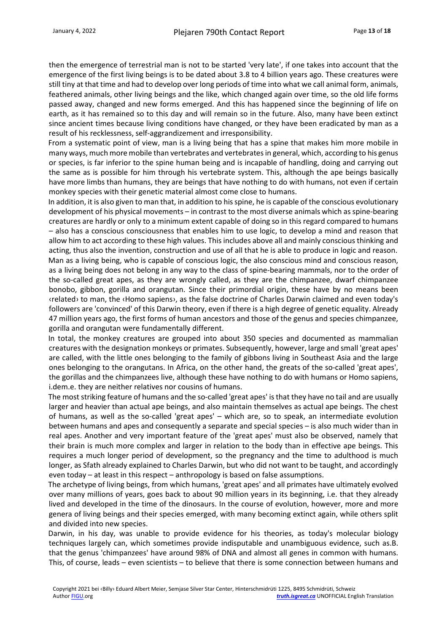then the emergence of terrestrial man is not to be started 'very late', if one takes into account that the emergence of the first living beings is to be dated about 3.8 to 4 billion years ago. These creatures were still tiny at that time and had to develop over long periods of time into what we call animal form, animals, feathered animals, other living beings and the like, which changed again over time, so the old life forms passed away, changed and new forms emerged. And this has happened since the beginning of life on earth, as it has remained so to this day and will remain so in the future. Also, many have been extinct since ancient times because living conditions have changed, or they have been eradicated by man as a result of his recklessness, self-aggrandizement and irresponsibility.

From a systematic point of view, man is a living being that has a spine that makes him more mobile in many ways, much more mobile than vertebrates and vertebrates in general, which, according to his genus or species, is far inferior to the spine human being and is incapable of handling, doing and carrying out the same as is possible for him through his vertebrate system. This, although the ape beings basically have more limbs than humans, they are beings that have nothing to do with humans, not even if certain monkey species with their genetic material almost come close to humans.

In addition, it is also given to man that, in addition to his spine, he is capable of the conscious evolutionary development of his physical movements – in contrast to the most diverse animals which as spine-bearing creatures are hardly or only to a minimum extent capable of doing so in this regard compared to humans – also has a conscious consciousness that enables him to use logic, to develop a mind and reason that allow him to act according to these high values. This includes above all and mainly conscious thinking and acting, thus also the invention, construction and use of all that he is able to produce in logic and reason. Man as a living being, who is capable of conscious logic, the also conscious mind and conscious reason, as a living being does not belong in any way to the class of spine-bearing mammals, nor to the order of the so-called great apes, as they are wrongly called, as they are the chimpanzee, dwarf chimpanzee bonobo, gibbon, gorilla and orangutan. Since their primordial origin, these have by no means been ‹related› to man, the ‹Homo sapiens›, as the false doctrine of Charles Darwin claimed and even today's followers are 'convinced' of this Darwin theory, even if there is a high degree of genetic equality. Already 47 million years ago, the first forms of human ancestors and those of the genus and species chimpanzee, gorilla and orangutan were fundamentally different.

In total, the monkey creatures are grouped into about 350 species and documented as mammalian creatures with the designation monkeys or primates. Subsequently, however, large and small 'great apes' are called, with the little ones belonging to the family of gibbons living in Southeast Asia and the large ones belonging to the orangutans. In Africa, on the other hand, the greats of the so-called 'great apes', the gorillas and the chimpanzees live, although these have nothing to do with humans or Homo sapiens, i.dem.e. they are neither relatives nor cousins of humans.

The most striking feature of humans and the so-called 'great apes' is that they have no tail and are usually larger and heavier than actual ape beings, and also maintain themselves as actual ape beings. The chest of humans, as well as the so-called 'great apes' – which are, so to speak, an intermediate evolution between humans and apes and consequently a separate and special species – is also much wider than in real apes. Another and very important feature of the 'great apes' must also be observed, namely that their brain is much more complex and larger in relation to the body than in effective ape beings. This requires a much longer period of development, so the pregnancy and the time to adulthood is much longer, as Sfath already explained to Charles Darwin, but who did not want to be taught, and accordingly even today – at least in this respect – anthropology is based on false assumptions.

The archetype of living beings, from which humans, 'great apes' and all primates have ultimately evolved over many millions of years, goes back to about 90 million years in its beginning, i.e. that they already lived and developed in the time of the dinosaurs. In the course of evolution, however, more and more genera of living beings and their species emerged, with many becoming extinct again, while others split and divided into new species.

Darwin, in his day, was unable to provide evidence for his theories, as today's molecular biology techniques largely can, which sometimes provide indisputable and unambiguous evidence, such as.B. that the genus 'chimpanzees' have around 98% of DNA and almost all genes in common with humans. This, of course, leads – even scientists – to believe that there is some connection between humans and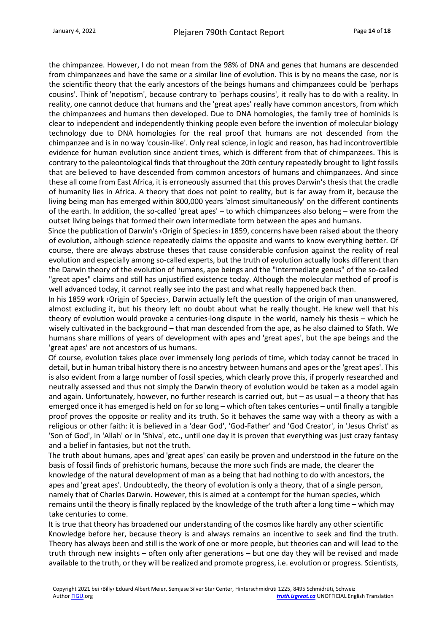the chimpanzee. However, I do not mean from the 98% of DNA and genes that humans are descended from chimpanzees and have the same or a similar line of evolution. This is by no means the case, nor is the scientific theory that the early ancestors of the beings humans and chimpanzees could be 'perhaps cousins'. Think of 'nepotism', because contrary to 'perhaps cousins', it really has to do with a reality. In reality, one cannot deduce that humans and the 'great apes' really have common ancestors, from which the chimpanzees and humans then developed. Due to DNA homologies, the family tree of hominids is clear to independent and independently thinking people even before the invention of molecular biology technology due to DNA homologies for the real proof that humans are not descended from the chimpanzee and is in no way 'cousin-like'. Only real science, in logic and reason, has had incontrovertible evidence for human evolution since ancient times, which is different from that of chimpanzees. This is contrary to the paleontological finds that throughout the 20th century repeatedly brought to light fossils that are believed to have descended from common ancestors of humans and chimpanzees. And since these all come from East Africa, it is erroneously assumed that this proves Darwin's thesis that the cradle of humanity lies in Africa. A theory that does not point to reality, but is far away from it, because the living being man has emerged within 800,000 years 'almost simultaneously' on the different continents of the earth. In addition, the so-called 'great apes' – to which chimpanzees also belong – were from the outset living beings that formed their own intermediate form between the apes and humans.

Since the publication of Darwin's ‹Origin of Species› in 1859, concerns have been raised about the theory of evolution, although science repeatedly claims the opposite and wants to know everything better. Of course, there are always abstruse theses that cause considerable confusion against the reality of real evolution and especially among so-called experts, but the truth of evolution actually looks different than the Darwin theory of the evolution of humans, ape beings and the "intermediate genus" of the so-called "great apes" claims and still has unjustified existence today. Although the molecular method of proof is well advanced today, it cannot really see into the past and what really happened back then.

In his 1859 work ‹Origin of Species›, Darwin actually left the question of the origin of man unanswered, almost excluding it, but his theory left no doubt about what he really thought. He knew well that his theory of evolution would provoke a centuries-long dispute in the world, namely his thesis – which he wisely cultivated in the background – that man descended from the ape, as he also claimed to Sfath. We humans share millions of years of development with apes and 'great apes', but the ape beings and the 'great apes' are not ancestors of us humans.

Of course, evolution takes place over immensely long periods of time, which today cannot be traced in detail, but in human tribal history there is no ancestry between humans and apes or the 'great apes'. This is also evident from a large number of fossil species, which clearly prove this, if properly researched and neutrally assessed and thus not simply the Darwin theory of evolution would be taken as a model again and again. Unfortunately, however, no further research is carried out, but – as usual – a theory that has emerged once it has emerged is held on for so long – which often takes centuries – until finally a tangible proof proves the opposite or reality and its truth. So it behaves the same way with a theory as with a religious or other faith: it is believed in a 'dear God', 'God-Father' and 'God Creator', in 'Jesus Christ' as 'Son of God', in 'Allah' or in 'Shiva', etc., until one day it is proven that everything was just crazy fantasy and a belief in fantasies, but not the truth.

The truth about humans, apes and 'great apes' can easily be proven and understood in the future on the basis of fossil finds of prehistoric humans, because the more such finds are made, the clearer the knowledge of the natural development of man as a being that had nothing to do with ancestors, the apes and 'great apes'. Undoubtedly, the theory of evolution is only a theory, that of a single person, namely that of Charles Darwin. However, this is aimed at a contempt for the human species, which remains until the theory is finally replaced by the knowledge of the truth after a long time – which may take centuries to come.

It is true that theory has broadened our understanding of the cosmos like hardly any other scientific Knowledge before her, because theory is and always remains an incentive to seek and find the truth. Theory has always been and still is the work of one or more people, but theories can and will lead to the truth through new insights – often only after generations – but one day they will be revised and made available to the truth, or they will be realized and promote progress, i.e. evolution or progress. Scientists,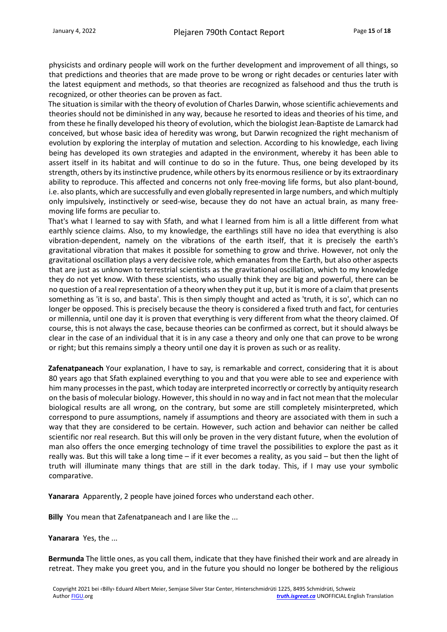physicists and ordinary people will work on the further development and improvement of all things, so that predictions and theories that are made prove to be wrong or right decades or centuries later with the latest equipment and methods, so that theories are recognized as falsehood and thus the truth is recognized, or other theories can be proven as fact.

The situation is similar with the theory of evolution of Charles Darwin, whose scientific achievements and theories should not be diminished in any way, because he resorted to ideas and theories of his time, and from these he finally developed his theory of evolution, which the biologist Jean-Baptiste de Lamarck had conceived, but whose basic idea of heredity was wrong, but Darwin recognized the right mechanism of evolution by exploring the interplay of mutation and selection. According to his knowledge, each living being has developed its own strategies and adapted in the environment, whereby it has been able to assert itself in its habitat and will continue to do so in the future. Thus, one being developed by its strength, others by its instinctive prudence, while others by its enormous resilience or by its extraordinary ability to reproduce. This affected and concerns not only free-moving life forms, but also plant-bound, i.e. also plants, which are successfully and even globally represented in large numbers, and which multiply only impulsively, instinctively or seed-wise, because they do not have an actual brain, as many freemoving life forms are peculiar to.

That's what I learned to say with Sfath, and what I learned from him is all a little different from what earthly science claims. Also, to my knowledge, the earthlings still have no idea that everything is also vibration-dependent, namely on the vibrations of the earth itself, that it is precisely the earth's gravitational vibration that makes it possible for something to grow and thrive. However, not only the gravitational oscillation plays a very decisive role, which emanates from the Earth, but also other aspects that are just as unknown to terrestrial scientists as the gravitational oscillation, which to my knowledge they do not yet know. With these scientists, who usually think they are big and powerful, there can be no question of a real representation of a theory when they put it up, but it is more of a claim that presents something as 'it is so, and basta'. This is then simply thought and acted as 'truth, it is so', which can no longer be opposed. This is precisely because the theory is considered a fixed truth and fact, for centuries or millennia, until one day it is proven that everything is very different from what the theory claimed. Of course, this is not always the case, because theories can be confirmed as correct, but it should always be clear in the case of an individual that it is in any case a theory and only one that can prove to be wrong or right; but this remains simply a theory until one day it is proven as such or as reality.

**Zafenatpaneach** Your explanation, I have to say, is remarkable and correct, considering that it is about 80 years ago that Sfath explained everything to you and that you were able to see and experience with him many processes in the past, which today are interpreted incorrectly or correctly by antiquity research on the basis of molecular biology. However, this should in no way and in fact not mean that the molecular biological results are all wrong, on the contrary, but some are still completely misinterpreted, which correspond to pure assumptions, namely if assumptions and theory are associated with them in such a way that they are considered to be certain. However, such action and behavior can neither be called scientific nor real research. But this will only be proven in the very distant future, when the evolution of man also offers the once emerging technology of time travel the possibilities to explore the past as it really was. But this will take a long time – if it ever becomes a reality, as you said – but then the light of truth will illuminate many things that are still in the dark today. This, if I may use your symbolic comparative.

**Yanarara** Apparently, 2 people have joined forces who understand each other.

**Billy** You mean that Zafenatpaneach and I are like the ...

**Yanarara** Yes, the ...

**Bermunda** The little ones, as you call them, indicate that they have finished their work and are already in retreat. They make you greet you, and in the future you should no longer be bothered by the religious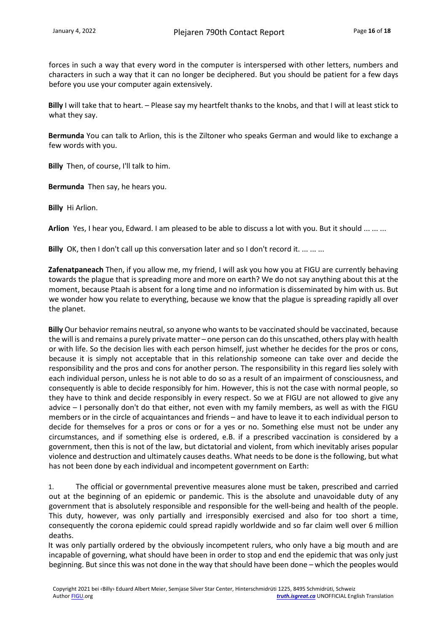forces in such a way that every word in the computer is interspersed with other letters, numbers and characters in such a way that it can no longer be deciphered. But you should be patient for a few days before you use your computer again extensively.

**Billy** I will take that to heart. – Please say my heartfelt thanks to the knobs, and that I will at least stick to what they say.

**Bermunda** You can talk to Arlion, this is the Ziltoner who speaks German and would like to exchange a few words with you.

**Billy** Then, of course, I'll talk to him.

**Bermunda** Then say, he hears you.

**Billy** Hi Arlion.

**Arlion** Yes, I hear you, Edward. I am pleased to be able to discuss a lot with you. But it should ... ... ...

**Billy** OK, then I don't call up this conversation later and so I don't record it. ... ... ...

**Zafenatpaneach** Then, if you allow me, my friend, I will ask you how you at FIGU are currently behaving towards the plague that is spreading more and more on earth? We do not say anything about this at the moment, because Ptaah is absent for a long time and no information is disseminated by him with us. But we wonder how you relate to everything, because we know that the plague is spreading rapidly all over the planet.

**Billy** Our behavior remains neutral, so anyone who wants to be vaccinated should be vaccinated, because the will is and remains a purely private matter – one person can do this unscathed, others play with health or with life. So the decision lies with each person himself, just whether he decides for the pros or cons, because it is simply not acceptable that in this relationship someone can take over and decide the responsibility and the pros and cons for another person. The responsibility in this regard lies solely with each individual person, unless he is not able to do so as a result of an impairment of consciousness, and consequently is able to decide responsibly for him. However, this is not the case with normal people, so they have to think and decide responsibly in every respect. So we at FIGU are not allowed to give any advice – I personally don't do that either, not even with my family members, as well as with the FIGU members or in the circle of acquaintances and friends – and have to leave it to each individual person to decide for themselves for a pros or cons or for a yes or no. Something else must not be under any circumstances, and if something else is ordered, e.B. if a prescribed vaccination is considered by a government, then this is not of the law, but dictatorial and violent, from which inevitably arises popular violence and destruction and ultimately causes deaths. What needs to be done is the following, but what has not been done by each individual and incompetent government on Earth:

1. The official or governmental preventive measures alone must be taken, prescribed and carried out at the beginning of an epidemic or pandemic. This is the absolute and unavoidable duty of any government that is absolutely responsible and responsible for the well-being and health of the people. This duty, however, was only partially and irresponsibly exercised and also for too short a time, consequently the corona epidemic could spread rapidly worldwide and so far claim well over 6 million deaths.

It was only partially ordered by the obviously incompetent rulers, who only have a big mouth and are incapable of governing, what should have been in order to stop and end the epidemic that was only just beginning. But since this was not done in the way that should have been done – which the peoples would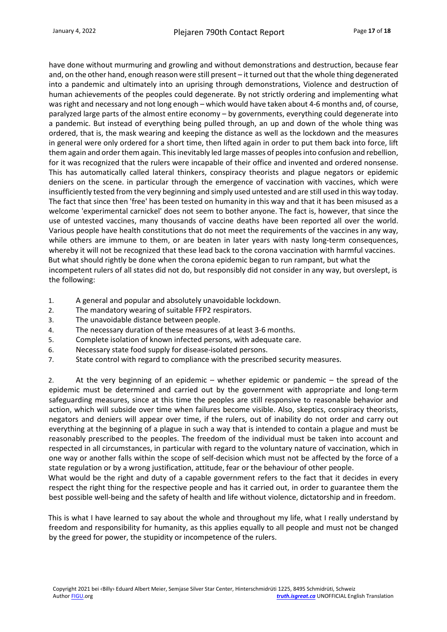have done without murmuring and growling and without demonstrations and destruction, because fear and, on the other hand, enough reason were still present – it turned out that the whole thing degenerated into a pandemic and ultimately into an uprising through demonstrations, Violence and destruction of human achievements of the peoples could degenerate. By not strictly ordering and implementing what was right and necessary and not long enough – which would have taken about 4-6 months and, of course, paralyzed large parts of the almost entire economy – by governments, everything could degenerate into a pandemic. But instead of everything being pulled through, an up and down of the whole thing was ordered, that is, the mask wearing and keeping the distance as well as the lockdown and the measures in general were only ordered for a short time, then lifted again in order to put them back into force, lift them again and order them again. This inevitably led large masses of peoples into confusion and rebellion, for it was recognized that the rulers were incapable of their office and invented and ordered nonsense. This has automatically called lateral thinkers, conspiracy theorists and plague negators or epidemic deniers on the scene. in particular through the emergence of vaccination with vaccines, which were insufficiently tested from the very beginning and simply used untested and are still used in this way today. The fact that since then 'free' has been tested on humanity in this way and that it has been misused as a welcome 'experimental carnickel' does not seem to bother anyone. The fact is, however, that since the use of untested vaccines, many thousands of vaccine deaths have been reported all over the world. Various people have health constitutions that do not meet the requirements of the vaccines in any way, while others are immune to them, or are beaten in later years with nasty long-term consequences, whereby it will not be recognized that these lead back to the corona vaccination with harmful vaccines. But what should rightly be done when the corona epidemic began to run rampant, but what the incompetent rulers of all states did not do, but responsibly did not consider in any way, but overslept, is the following:

- 1. A general and popular and absolutely unavoidable lockdown.
- 2. The mandatory wearing of suitable FFP2 respirators.
- 3. The unavoidable distance between people.
- 4. The necessary duration of these measures of at least 3-6 months.
- 5. Complete isolation of known infected persons, with adequate care.
- 6. Necessary state food supply for disease-isolated persons.
- 7. State control with regard to compliance with the prescribed security measures.

2. At the very beginning of an epidemic – whether epidemic or pandemic – the spread of the epidemic must be determined and carried out by the government with appropriate and long-term safeguarding measures, since at this time the peoples are still responsive to reasonable behavior and action, which will subside over time when failures become visible. Also, skeptics, conspiracy theorists, negators and deniers will appear over time, if the rulers, out of inability do not order and carry out everything at the beginning of a plague in such a way that is intended to contain a plague and must be reasonably prescribed to the peoples. The freedom of the individual must be taken into account and respected in all circumstances, in particular with regard to the voluntary nature of vaccination, which in one way or another falls within the scope of self-decision which must not be affected by the force of a state regulation or by a wrong justification, attitude, fear or the behaviour of other people.

What would be the right and duty of a capable government refers to the fact that it decides in every respect the right thing for the respective people and has it carried out, in order to guarantee them the best possible well-being and the safety of health and life without violence, dictatorship and in freedom.

This is what I have learned to say about the whole and throughout my life, what I really understand by freedom and responsibility for humanity, as this applies equally to all people and must not be changed by the greed for power, the stupidity or incompetence of the rulers.